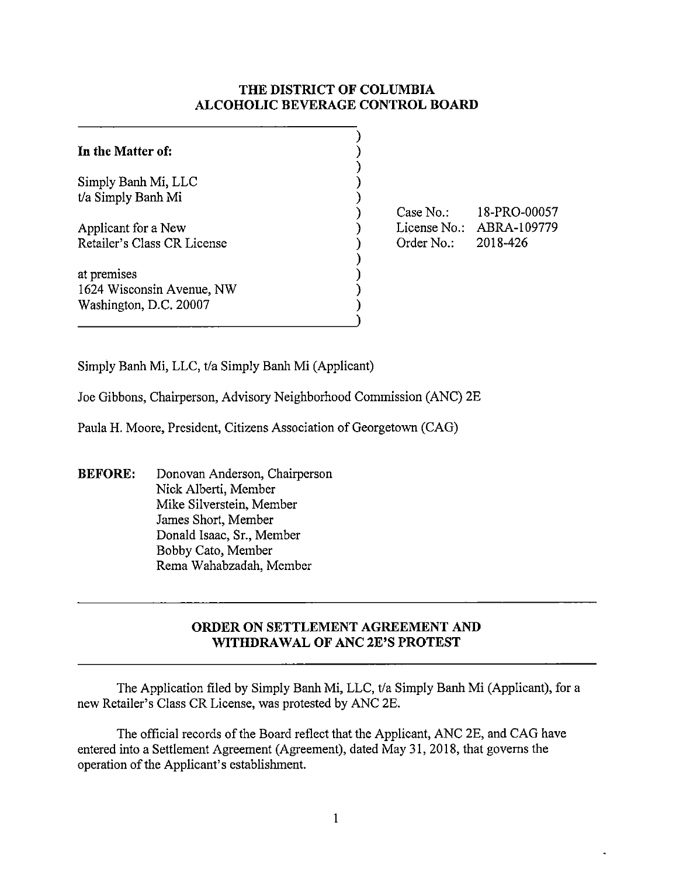## **THE DISTRICT OF COLUMBIA ALCOHOLIC BEVERAGE CONTROL BOARD**

| In the Matter of:           |  |
|-----------------------------|--|
| Simply Banh Mi, LLC         |  |
| t/a Simply Banh Mi          |  |
| Applicant for a New         |  |
| Retailer's Class CR License |  |
| at premises                 |  |
| 1624 Wisconsin Avenue, NW   |  |
| Washington, D.C. 20007      |  |

Case No.: License No.: ABRA-109779 Order No.: l 8-PRO-00057 2018-426

Simply Banh Mi, LLC, t/a Simply Banh Mi (Applicant)

Joe Gibbons, Chairperson, Advisory Neighborhood Commission (ANC) 2E

Paula H. Moore, President, Citizens Association of Georgetown (CAG)

**BEFORE:** Donovan Anderson, Chairperson Nick Alberti, Member Mike Silverstein, Member James Short, Member Donald Isaac, Sr., Member Bobby Cato, Member Rema Wahabzadah, Member

## **ORDER ON SETTLEMENT AGREEMENT AND WITHDRAWAL OF ANC 2E'S PROTEST**

The Application filed by Simply Banh Mi, LLC, t/a Simply Banh Mi (Applicant), for a new Retailer's Class CR License, was protested by ANC 2E.

The official records of the Board reflect that the Applicant, ANC 2E, and CAG have entered into a Settlement Agreement (Agreement), dated May 31, 2018, that governs the operation of the Applicant's establishment.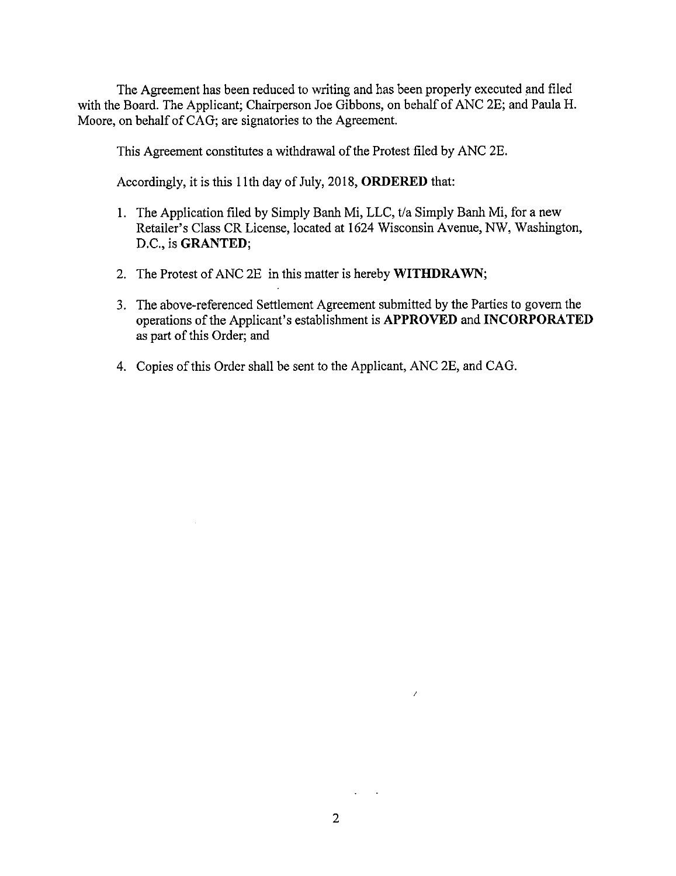The Agreement has been reduced to writing and has been properly executed and filed with the Board. The Applicant; Chairperson Joe Gibbons, on behalf of ANC 2E; and Paula H. Moore, on behalf of CAG; are signatories to the Agreement.

This Agreement constitutes a withdrawal of the Protest filed by ANC 2E.

Accordingly, it is this 11th day of July, 2018, **ORDERED** that:

- 1. The Application filed by Simply Banh Mi, LLC, t/a Simply Banh Mi, for a new Retailer's Class CR License, located at 1624 Wisconsin Avenue, NW, Washington, D.C., is **GRANTED;**
- 2. The Protest of ANC 2E in this matter is hereby **WITHDRAWN;**
- 3. The above-referenced Settlement Agreement submitted by the Parties to govern the operations of the Applicant's establishment is **APPROVED and INCORPORATED**  as part of this Order; and
- 4. Copies of this Order shall be sent to the Applicant, ANC 2E, and CAG.

 $\sim$  10  $\pm$ 

*I*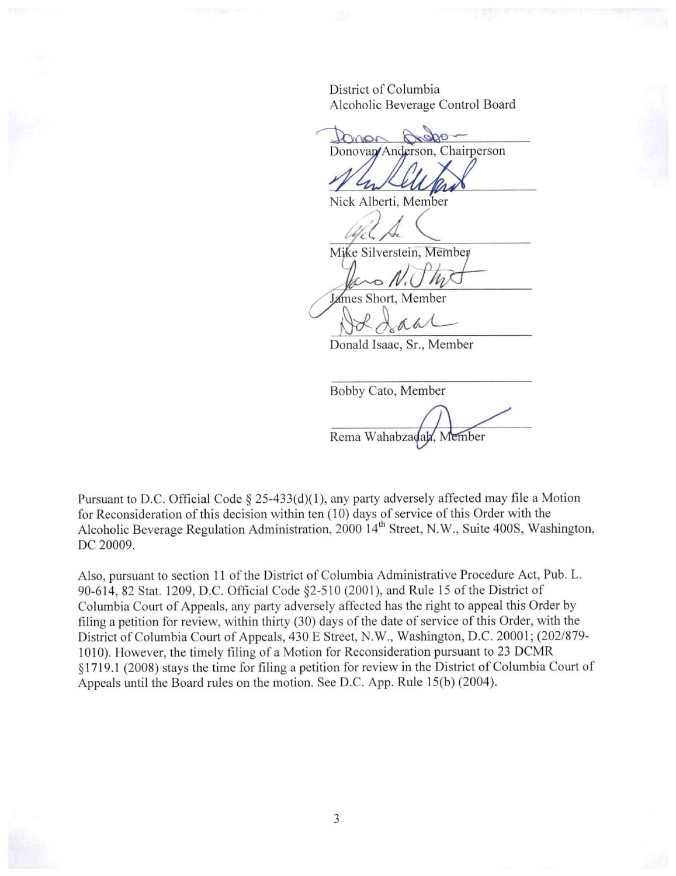District of Columbia Alcoholic Beverage Control Board

tonor Donovan/Anderson, Chairperson

Nick Alberti, Member

 $42A$ 

James Short, Member

Donald Isaac, Sr., Member

Bobby Cato, Member

Rema Wahabzadah, Member

Pursuant to D.C. Official Code § 25-433(d)(1), any party adversely affected may file a Motion for Reconsideration of this decision within ten (10) days of service of this Order with the Alcoholic Beverage Regulation Administration, 2000 14<sup>th</sup> Street, N.W., Suite 400S, Washington, DC 20009.

Also, pursuant to section **11** of the District of Columbia Administrative Procedure Act, Pub. L. 90-614, 82 Stat. 1209, D.C. Official Code §2-510 (2001), and Rule 15 of the District of Columbia Court of Appeals, any party adversely affected has the right to appeal this Order by filing a petition for review, within thirty (30) days of the date of service of this Order, with the District of Columbia Court of Appeals, 430 E Street, N.W., Washington, D.C. 20001; (202/879-1010). However, the timely filing of a Motion for Reconsideration pursuant to 23 DCMR §1719.1 (2008) stays the time for filing a petition for review in the District of Columbia Court of Appeals until the Board rules on the motion. See D.C. App. Rule 15(b) (2004).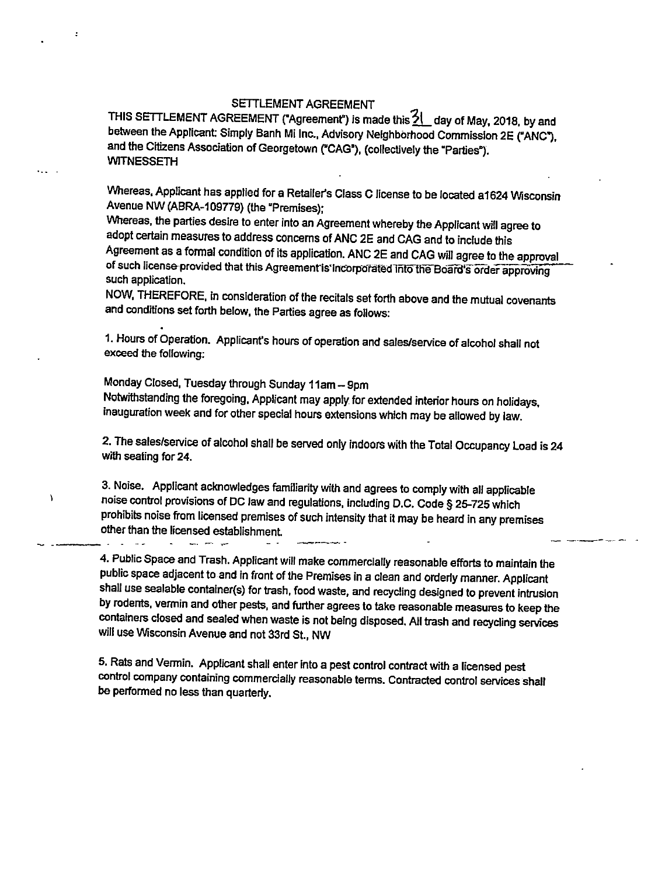## SETTLEMENT AGREEMENT

THIS SETTLEMENT AGREEMENT ("Agreement") is made this  $\frac{21}{2}$  day of May, 2018, by and between the Applicant: Simply Banh Mi Inc., Advisory Neighborhood Commission 2E ("ANC"), and the Citizens Association of Georgetown ("CAG"), (collectively the "Parties"). **WITNESSETH** 

Whereas, Applicant has applied for a Retailer's Class C license to be located a1624 Wisconsin Avenue NW (ABRA-109TT9) (the "Premises);

VVhereas, the parties desire to enter into an Agreement whereby the Applicant will agree to adopt certain measures to address concerns of ANC 2E and CAG and to include this Agreement as a formal condition of its application. ANC 2E and CAG will agree to the approval of such license-provided that this Agreement is Incorporated Into the Board's order approving such application.

NOW, THEREFORE, in consideration of the recitals set forth above and the mutual covenants and conditions set forth below, the Parties agree as follows:

1. Hours of Operation. Applicant's hours of operation and sales/service of alcohol shall not exceed the following:

Monday Closed, Tuesday through Sunday 11am- 9pm Notwithstanding the foregoing, Applicant may apply for extended interior hours on holidays, inauguration week and for other special hours extensions which may be allowed by law.

2. The sales/service of alcohol shall be served only indoors with the Total Occupancy Load is <sup>24</sup> with seating for 24.

3. Noise. Appllcant acknowledges familiarity with and agrees to comply with all applicable noise control provisions of DC law and regulations, including D.C. Code § 25-725 which prohibits noise from licensed premises of such intensity that it may be heard in any premises other than the licensed establishment

--------····

 $\lambda$ 

4. Public Space and Trash. Applicant will make commercially reasonable efforts to maintain the public space adjacent to and in front of the Premises in a clean and orderly manner. Applicant shall use sealable container(s) for trash, food waste, and recycling designed to prevent intrusion by rodents, vermin and other pests, and further agrees to take reasonable measures to keep the containers closed and sealed when waste is not being disposed. All trash and recycling services wlil use Wisconsin Avenue and not 33rd St., NW

5. Rats and Vermin. Applicant shall enter Into a pest control contract with a licensed pest control company containing commercially reasonable terms. Contracted control services shall be performed no less than quarterly.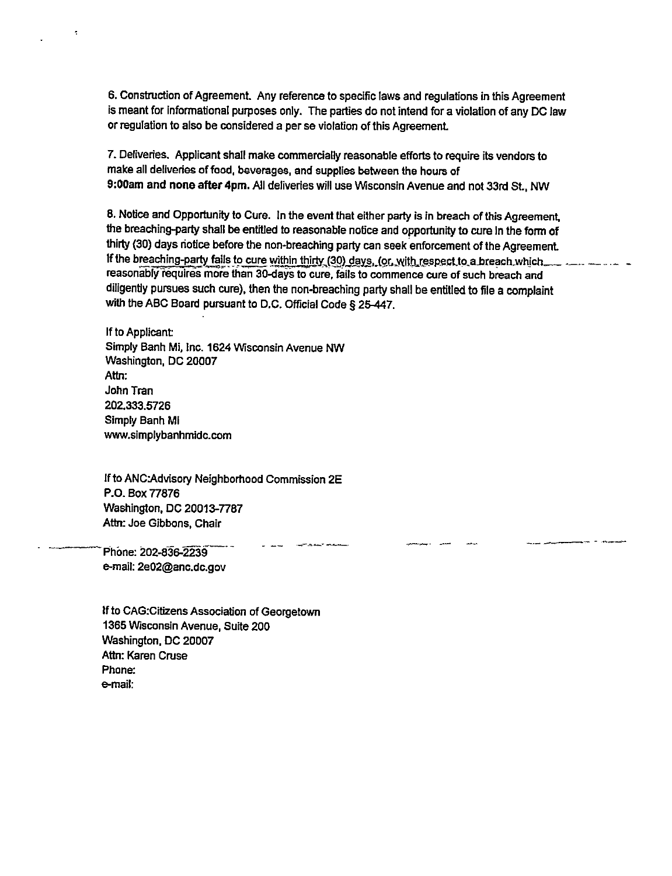6. Construction of Agreement. Any reference to specific laws and regulations in this Agreement is meant for Informational purposes only. The parties do not intend for a violation of any DC law or regulation to also be considered a per se violation of this Agreement

7. Deliveries. Applicant shall make commercially reasonable efforts to require its vendors to make all deliveries of food, beverages, and supplies between the hours of 9:00am and none after 4pm. All deliveries will use Wisconsin Avenue and not 33rd St., NW

8. Notice and Opportunity to Cure. In the event that either party is in breach of this Agreement, the breaching-party shall be entitled to reasonable notice and opportunity to cure In the form of thirty (30) days riotice before the non-breaching party can seek enforcement of the Agreement If the breaching-party fails to cure within thirty (30) days, (or, with respect to a breach which... reasonably requires more than 30-days to cure, fails to commence cure of such breach and diligently pursues such cure), then the non-breaching party shall be entitled to file a complaint with the ABC Board pursuant to D.C. Official Code§ 25-447.

and the first contract of the con-

If to Applicant Simply Banh Mi, Inc. 1624 Wisconsin Avenue **NW**  Washington, DC 20007 **Attn:**  John Tran 202.333.5726 Simply Banh Ml www.simplybanhmidc.com

If to ANC:Advisory Neighborhood Commission 2E P.O. Box 77876 Washington, DC 20013-7787 **Attn:** Joe Gibbons, Chair

Phone: 202-836-2239 e-mail: 2e02@anc.dc.gov

÷

If to CAG:Citizens Association of Georgetown 1365 Wisconsin Avenue, Suite 200 Washington, DC 20007 Attn: Karen Cruse Phone: e-mail: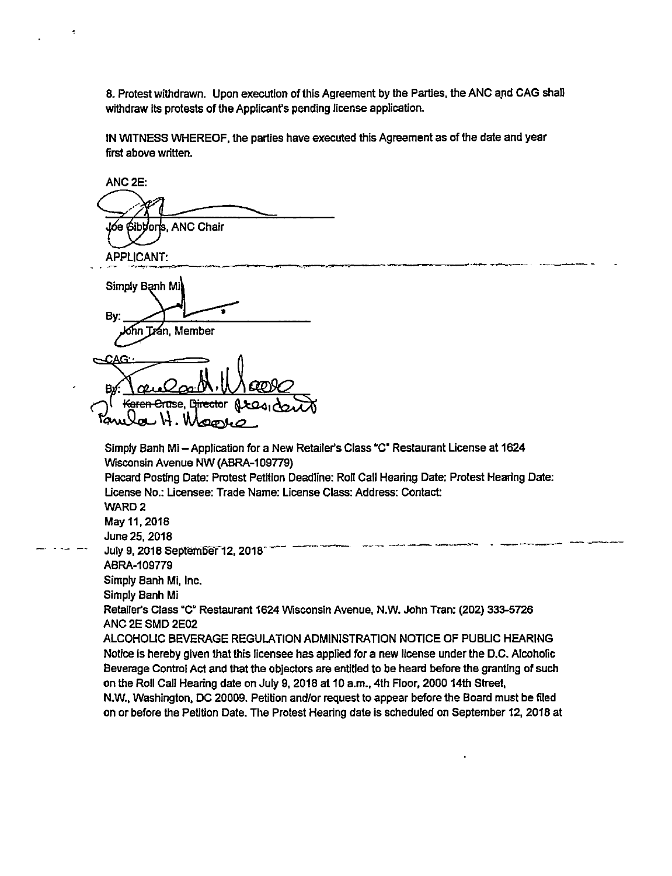8. Protest withdrawn. Upon execution of this Agreement by the Parties, the ANC and CAG shall withdraw its protests of the Applicant's pending license application.

IN WITNESS WHEREOF, the parties have executed this Agreement as of the date and year first above written.

ANC2E: Jóe Gibbors, ANC Chair APPLICANT: Simply Banh Mi By: Trán, Member chn. Karen Cruse, Director **OONO** Simply Banh Mi-Application for a New Retailer's Class "C" Restaurant License at 1624 Wisconsin Avenue NW (ABRA-109TT9) Placard Posting Date: Protest Petition Deadline: Roll Call Hearing Date: Protest Hearing Date: License No.: Licensee: Trade Name: License Class: Address: Contact: WARD<sub>2</sub> May 11, 2018 -----·- \_\_\_ ,. \_\_\_ ----- . -·----- ---·- June 25, 2018 July 9, 2018 September 12, 2018<br>ABRA-109779 Simply Banh Mi, Inc. Simply Banh Mi Retailer's Class "C" Restaurant 1624 Wisconsin Avenue, N.W. John Tran: (202) 333-5726 ANC 2E SMD 2E02 ALCOHOLIC BEVERAGE REGULATION ADMINISTRATION NOTICE OF PUBLIC HEARING Notice is hereby given that this licensee has applied for a new license under the D.C. Alcohofic Beverage Control Act and that the objectors are entitled to be heard before the granting of such on the Roll Call Hearing date on July 9, 2018 at 10 a.m., 4th Floor, 2000 14th Street, N.W., Washington, DC 20009. Petition and/or request to appear before the Board must be filed on or before the Petition Date. The Protest Hearing date is scheduled on September 12, 2018 at